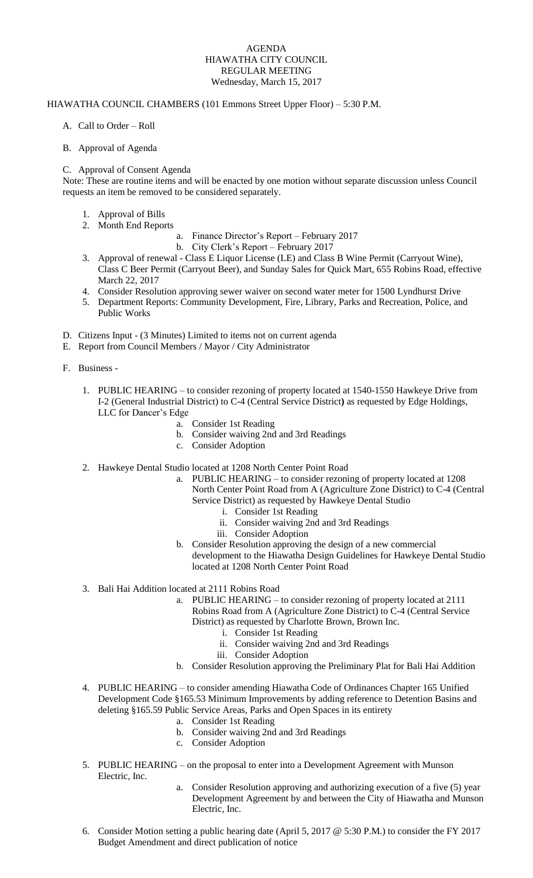## AGENDA HIAWATHA CITY COUNCIL REGULAR MEETING Wednesday, March 15, 2017

## HIAWATHA COUNCIL CHAMBERS (101 Emmons Street Upper Floor) – 5:30 P.M.

- A. Call to Order Roll
- B. Approval of Agenda

## C. Approval of Consent Agenda

Note: These are routine items and will be enacted by one motion without separate discussion unless Council requests an item be removed to be considered separately.

- 1. Approval of Bills
- 2. Month End Reports
	- a. Finance Director's Report February 2017
		- b. City Clerk's Report February 2017
- 3. Approval of renewal Class E Liquor License (LE) and Class B Wine Permit (Carryout Wine), Class C Beer Permit (Carryout Beer), and Sunday Sales for Quick Mart, 655 Robins Road, effective March 22, 2017
- 4. Consider Resolution approving sewer waiver on second water meter for 1500 Lyndhurst Drive
- 5. Department Reports: Community Development, Fire, Library, Parks and Recreation, Police, and Public Works
- D. Citizens Input (3 Minutes) Limited to items not on current agenda
- E. Report from Council Members / Mayor / City Administrator
- F. Business
	- 1. PUBLIC HEARING to consider rezoning of property located at 1540-1550 Hawkeye Drive from I-2 (General Industrial District) to C-4 (Central Service District**)** as requested by Edge Holdings, LLC for Dancer's Edge
		- a. Consider 1st Reading
		- b. Consider waiving 2nd and 3rd Readings
		- c. Consider Adoption
	- 2. Hawkeye Dental Studio located at 1208 North Center Point Road
		- a. PUBLIC HEARING to consider rezoning of property located at 1208 North Center Point Road from A (Agriculture Zone District) to C-4 (Central Service District) as requested by Hawkeye Dental Studio
			- i. Consider 1st Reading
			- ii. Consider waiving 2nd and 3rd Readings
			- iii. Consider Adoption
		- b. Consider Resolution approving the design of a new commercial development to the Hiawatha Design Guidelines for Hawkeye Dental Studio located at 1208 North Center Point Road
	- 3. Bali Hai Addition located at 2111 Robins Road
		- a. PUBLIC HEARING to consider rezoning of property located at 2111 Robins Road from A (Agriculture Zone District) to C-4 (Central Service District) as requested by Charlotte Brown, Brown Inc.
			- i. Consider 1st Reading
			- ii. Consider waiving 2nd and 3rd Readings
			- iii. Consider Adoption
		- b. Consider Resolution approving the Preliminary Plat for Bali Hai Addition
	- 4. PUBLIC HEARING to consider amending Hiawatha Code of Ordinances Chapter 165 Unified Development Code §165.53 Minimum Improvements by adding reference to Detention Basins and deleting §165.59 Public Service Areas, Parks and Open Spaces in its entirety
		- a. Consider 1st Reading
		- b. Consider waiving 2nd and 3rd Readings
		- c. Consider Adoption
	- 5. PUBLIC HEARING on the proposal to enter into a Development Agreement with Munson Electric, Inc.
		- a. Consider Resolution approving and authorizing execution of a five (5) year Development Agreement by and between the City of Hiawatha and Munson Electric, Inc.
	- 6. Consider Motion setting a public hearing date (April 5, 2017 @ 5:30 P.M.) to consider the FY 2017 Budget Amendment and direct publication of notice